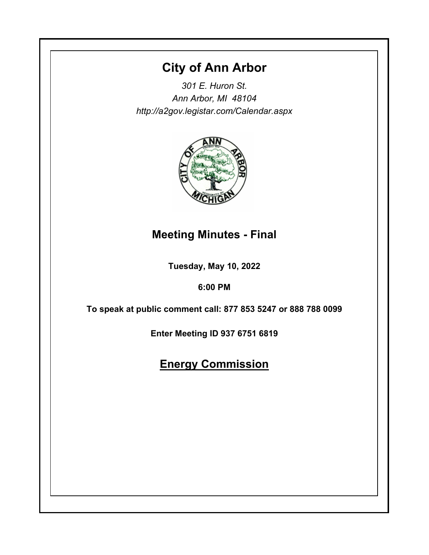# **City of Ann Arbor**

*301 E. Huron St. Ann Arbor, MI 48104 http://a2gov.legistar.com/Calendar.aspx*



## **Meeting Minutes - Final**

**Tuesday, May 10, 2022**

## **6:00 PM**

**To speak at public comment call: 877 853 5247 or 888 788 0099** 

**Enter Meeting ID 937 6751 6819**

# **Energy Commission**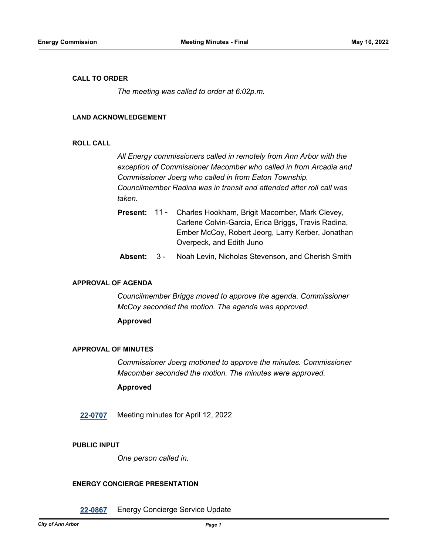## **CALL TO ORDER**

*The meeting was called to order at 6:02p.m.*

## **LAND ACKNOWLEDGEMENT**

## **ROLL CALL**

*All Energy commissioners called in remotely from Ann Arbor with the exception of Commissioner Macomber who called in from Arcadia and Commissioner Joerg who called in from Eaton Township. Councilmember Radina was in transit and attended after roll call was taken.*

- Charles Hookham, Brigit Macomber, Mark Clevey, Carlene Colvin-Garcia, Erica Briggs, Travis Radina, Ember McCoy, Robert Jeorg, Larry Kerber, Jonathan Overpeck, and Edith Juno **Present:** 11 -
- **Absent:** 3 Noah Levin, Nicholas Stevenson, and Cherish Smith

## **APPROVAL OF AGENDA**

*Councilmember Briggs moved to approve the agenda. Commissioner McCoy seconded the motion. The agenda was approved.*

## **Approved**

### **APPROVAL OF MINUTES**

*Commissioner Joerg motioned to approve the minutes. Commissioner Macomber seconded the motion. The minutes were approved.*

## **Approved**

**[22-0707](http://a2gov.legistar.com/gateway.aspx?M=L&ID=29885)** Meeting minutes for April 12, 2022

## **PUBLIC INPUT**

*One person called in.*

## **ENERGY CONCIERGE PRESENTATION**

**[22-0867](http://a2gov.legistar.com/gateway.aspx?M=L&ID=30043)** Energy Concierge Service Update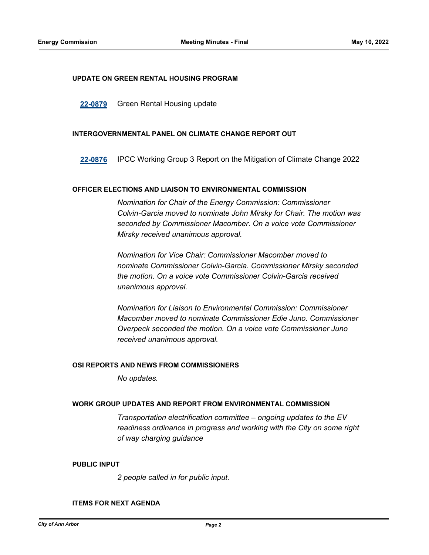### **UPDATE ON GREEN RENTAL HOUSING PROGRAM**

**[22-0879](http://a2gov.legistar.com/gateway.aspx?M=L&ID=30055)** Green Rental Housing update

### **INTERGOVERNMENTAL PANEL ON CLIMATE CHANGE REPORT OUT**

**[22-0876](http://a2gov.legistar.com/gateway.aspx?M=L&ID=30052)** IPCC Working Group 3 Report on the Mitigation of Climate Change 2022

## **OFFICER ELECTIONS AND LIAISON TO ENVIRONMENTAL COMMISSION**

*Nomination for Chair of the Energy Commission: Commissioner Colvin-Garcia moved to nominate John Mirsky for Chair. The motion was seconded by Commissioner Macomber. On a voice vote Commissioner Mirsky received unanimous approval.*

*Nomination for Vice Chair: Commissioner Macomber moved to nominate Commissioner Colvin-Garcia. Commissioner Mirsky seconded the motion. On a voice vote Commissioner Colvin-Garcia received unanimous approval.*

*Nomination for Liaison to Environmental Commission: Commissioner Macomber moved to nominate Commissioner Edie Juno. Commissioner Overpeck seconded the motion. On a voice vote Commissioner Juno received unanimous approval.*

#### **OSI REPORTS AND NEWS FROM COMMISSIONERS**

*No updates.*

## **WORK GROUP UPDATES AND REPORT FROM ENVIRONMENTAL COMMISSION**

*Transportation electrification committee – ongoing updates to the EV readiness ordinance in progress and working with the City on some right of way charging guidance*

### **PUBLIC INPUT**

*2 people called in for public input.*

#### **ITEMS FOR NEXT AGENDA**